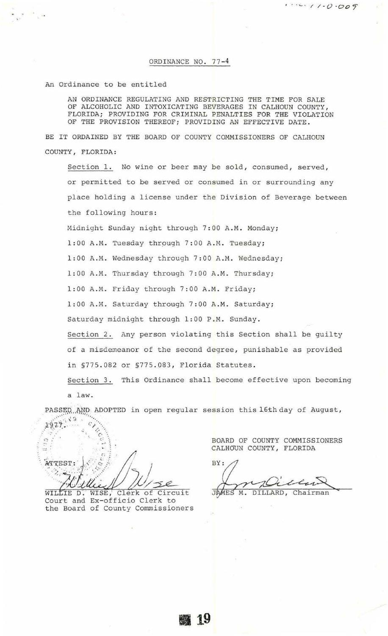An Ordinance to be entitled

AN ORDINANCE REGULATING AND RESTRICTING THE TIME FOR SALE OF ALCOHOLIC AND INTOXICATING BEVERAGES IN CALHOUN COUNTY , FLORIDA; PROVIDING FOR CRIMINAL PENALTIES FOR THE VIOLATION OF THE PROVISION THEREOF; PROVIDING AN EFFECTIVE DATE.

BE IT ORDAINED BY THE BOARD OF COUNTY COMMISSIONERS OF CALHOUN COUNTY, FLORIDA:

Section 1. No wine or beer may be sold, consumed, served, or permitted to be served or consumed in or surrounding any place holding a license under the Division of Beverage between the following hours:

Midnight Sunday night through 7:00 A.M. Monday;

1:00 A.M. Tuesday through 7:00 A.M. Tuesday;

1:00 A.M. Wednesday through 7:00 A.M. Wednesday;

1:00 A.M. Thursday through 7:00 A.M. Thursday;

1:00 A.M. Friday through 7:00 A.M. Friday;

1:00 A.M. Saturday through 7:00 A.M. Saturday;

Saturday midnight through 1:00 P.M. Sunday.

Section 2. Any person violating this Section shall be guilty of a misdemeanor of the second degree, punishable as provided in §775 . 082 or §775 . 083, Florida Statutes.

Section 3. This Ordinance shall become effective upon becoming a law.

PASSED AND ADOPTED in open regular session this l6th day of August,  $1927.$ 

......- : . ' :  $\overbrace{c}_{i+1}$ Ċ ATTEST:  $\circ$ ₽ メン Clerk of Circuit WISE,

WILLIE D. WISE, Clerk of Circ<br>Court and Ex-officio Clerk to the Board of County Commissioners BOARD OF COUNTY COMMISSIONERS CALHOUN COUNTY, FLORIDA

 $1.1.0.009$ 

BY: 75  $\overline{4}$ 

JAMES M. DILLARD, Chairman

**1119**